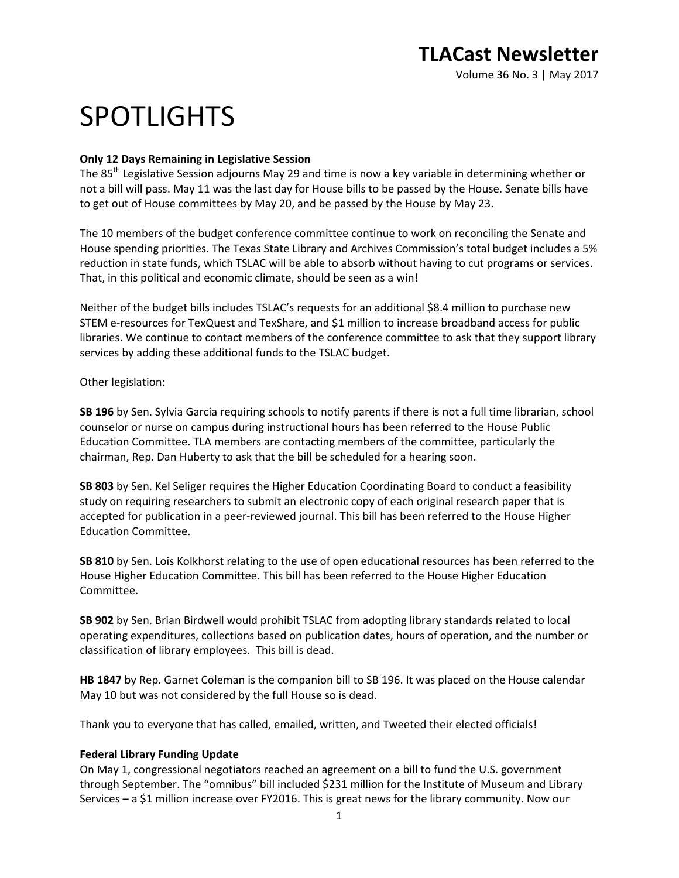# SPOTLIGHTS

# **Only 12 Days Remaining in Legislative Session**

The 85<sup>th</sup> Legislative Session adjourns May 29 and time is now a key variable in determining whether or not a bill will pass. May 11 was the last day for House bills to be passed by the House. Senate bills have to get out of House committees by May 20, and be passed by the House by May 23.

The 10 members of the budget conference committee continue to work on reconciling the Senate and House spending priorities. The Texas State Library and Archives Commission's total budget includes a 5% reduction in state funds, which TSLAC will be able to absorb without having to cut programs or services. That, in this political and economic climate, should be seen as a win!

Neither of the budget bills includes TSLAC's requests for an additional \$8.4 million to purchase new STEM e-resources for TexQuest and TexShare, and \$1 million to increase broadband access for public libraries. We continue to contact members of the conference committee to ask that they support library services by adding these additional funds to the TSLAC budget.

Other legislation:

**SB 196** by Sen. Sylvia Garcia requiring schools to notify parents if there is not a full time librarian, school counselor or nurse on campus during instructional hours has been referred to the House Public Education Committee. TLA members are contacting members of the committee, particularly the chairman, Rep. Dan Huberty to ask that the bill be scheduled for a hearing soon.

**SB 803** by Sen. Kel Seliger requires the Higher Education Coordinating Board to conduct a feasibility study on requiring researchers to submit an electronic copy of each original research paper that is accepted for publication in a peer-reviewed journal. This bill has been referred to the House Higher Education Committee.

**SB 810** by Sen. Lois Kolkhorst relating to the use of open educational resources has been referred to the House Higher Education Committee. This bill has been referred to the House Higher Education Committee.

**SB 902** by Sen. Brian Birdwell would prohibit TSLAC from adopting library standards related to local operating expenditures, collections based on publication dates, hours of operation, and the number or classification of library employees. This bill is dead.

**HB 1847** by Rep. Garnet Coleman is the companion bill to SB 196. It was placed on the House calendar May 10 but was not considered by the full House so is dead.

Thank you to everyone that has called, emailed, written, and Tweeted their elected officials!

# **Federal Library Funding Update**

On May 1, congressional negotiators reached an agreement on a bill to fund the U.S. government through September. The "omnibus" bill included \$231 million for the Institute of Museum and Library Services – a \$1 million increase over FY2016. This is great news for the library community. Now our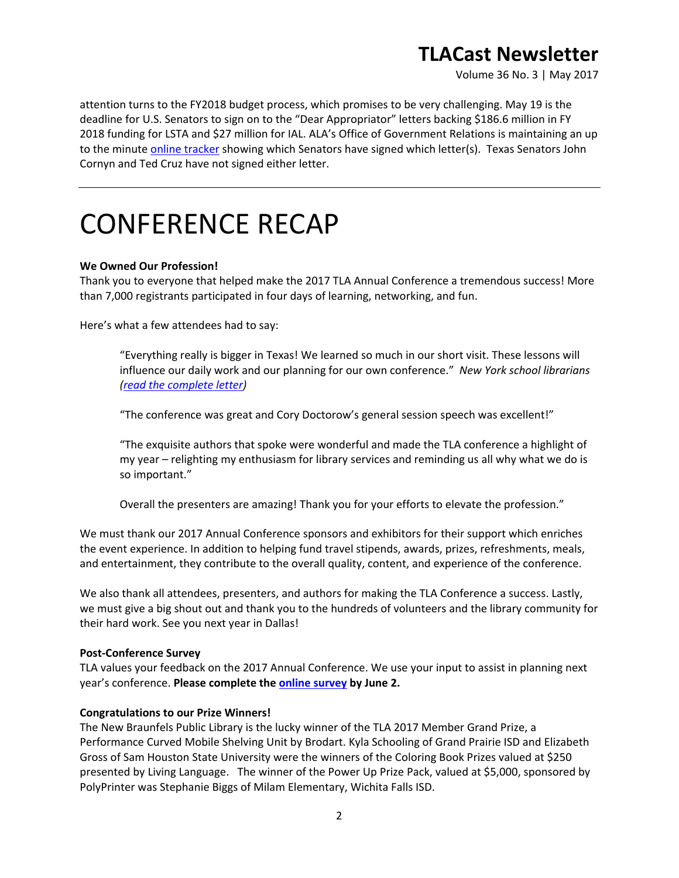Volume 36 No. 3 | May 2017

attention turns to the FY2018 budget process, which promises to be very challenging. May 19 is the deadline for U.S. Senators to sign on to the "Dear Appropriator" letters backing \$186.6 million in FY 2018 funding for LSTA and \$27 million for IAL. ALA's Office of Government Relations is maintaining an up to the minute [online tracker](https://airtable.com/shrbwBqmeYMWSYu2f/tblibE5jSCHVLvFmx/viw6jssU5hI83m3jY) showing which Senators have signed which letter(s). Texas Senators John Cornyn and Ted Cruz have not signed either letter.

# CONFERENCE RECAP

### **We Owned Our Profession!**

Thank you to everyone that helped make the 2017 TLA Annual Conference a tremendous success! More than 7,000 registrants participated in four days of learning, networking, and fun.

Here's what a few attendees had to say:

"Everything really is bigger in Texas! We learned so much in our short visit. These lessons will influence our daily work and our planning for our own conference." *New York school librarians [\(read the complete letter\)](http://www.txla.org/sites/tla/files/conference/docs/conf2017-thx-NY%20librarians.pdf)*

"The conference was great and Cory Doctorow's general session speech was excellent!"

"The exquisite authors that spoke were wonderful and made the TLA conference a highlight of my year – relighting my enthusiasm for library services and reminding us all why what we do is so important."

Overall the presenters are amazing! Thank you for your efforts to elevate the profession."

We must thank our 2017 Annual Conference sponsors and exhibitors for their support which enriches the event experience. In addition to helping fund travel stipends, awards, prizes, refreshments, meals, and entertainment, they contribute to the overall quality, content, and experience of the conference.

We also thank all attendees, presenters, and authors for making the TLA Conference a success. Lastly, we must give a big shout out and thank you to the hundreds of volunteers and the library community for their hard work. See you next year in Dallas!

#### **Post-Conference Survey**

TLA values your feedback on the 2017 Annual Conference. We use your input to assist in planning next year's conference. **Please complete th[e online survey](https://secure.txla.org/secure/survey/surveyForm.asp?sid=42) by June 2.**

#### **Congratulations to our Prize Winners!**

The New Braunfels Public Library is the lucky winner of the TLA 2017 Member Grand Prize, a Performance Curved Mobile Shelving Unit by Brodart. Kyla Schooling of Grand Prairie ISD and Elizabeth Gross of Sam Houston State University were the winners of the Coloring Book Prizes valued at \$250 presented by Living Language. The winner of the Power Up Prize Pack, valued at \$5,000, sponsored by PolyPrinter was Stephanie Biggs of Milam Elementary, Wichita Falls ISD.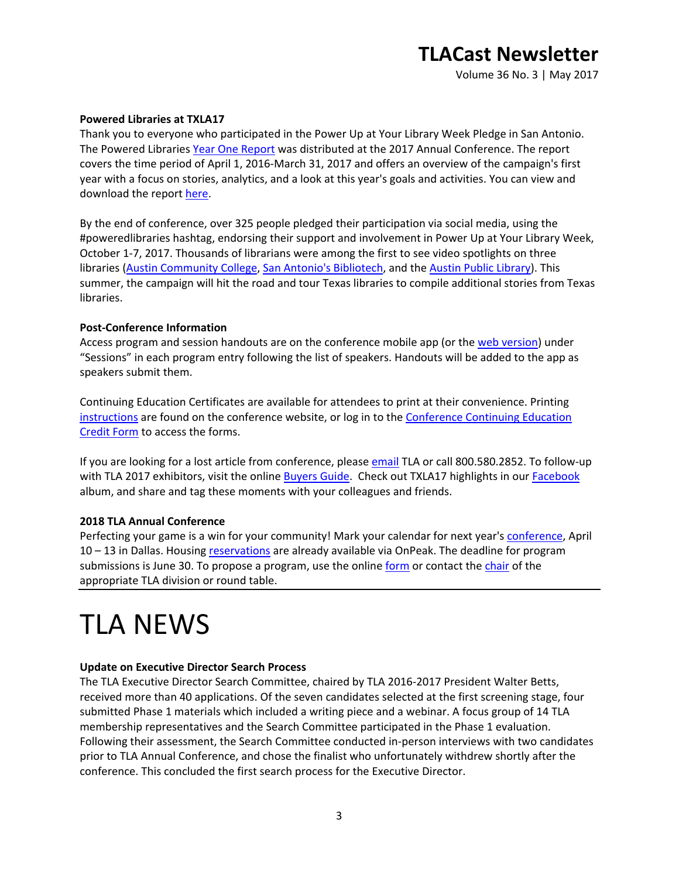Volume 36 No. 3 | May 2017

#### **Powered Libraries at TXLA17**

Thank you to everyone who participated in the Power Up at Your Library Week Pledge in San Antonio. The Powered Libraries [Year One Report](http://www.txla.org/sites/tla/files/pdf/handouts/Ideas%20Powered%20Year%20One%20Review_2.pdf) was distributed at the 2017 Annual Conference. The report covers the time period of April 1, 2016-March 31, 2017 and offers an overview of the campaign's first year with a focus on stories, analytics, and a look at this year's goals and activities. You can view and download the report [here.](http://www.txla.org/sites/tla/files/pdf/handouts/Ideas%20Powered%20Year%20One%20Review_2.pdf)

By the end of conference, over 325 people pledged their participation via social media, using the #poweredlibraries hashtag, endorsing their support and involvement in Power Up at Your Library Week, October 1-7, 2017. Thousands of librarians were among the first to see video spotlights on three libraries [\(Austin Community College,](https://www.youtube.com/watch?v=K3Y2kR_IzeY) [San Antonio's Bibliotech,](https://www.youtube.com/watch?v=faqnjMvZ_vY) and the [Austin Public Library\)](https://www.youtube.com/watch?v=DbdgDXW6RyQ&t=5s). This summer, the campaign will hit the road and tour Texas libraries to compile additional stories from Texas libraries.

### **Post-Conference Information**

Access program and session handouts are on the conference mobile app (or the [web version\)](https://vip.gatherdigital.com/apps/2512/login) under "Sessions" in each program entry following the list of speakers. Handouts will be added to the app as speakers submit them.

Continuing Education Certificates are available for attendees to print at their convenience. Printing [instructions](http://www.txla.org/conference-CE) are found on the conference website, or log in to the [Conference Continuing Education](https://secure.txla.org/secure/forms/cpemenu.asp)  [Credit Form](https://secure.txla.org/secure/forms/cpemenu.asp) to access the forms.

If you are looking for a lost article from conference, please [email](mailto:tla@txla.org) TLA or call 800.580.2852. To follow-up with TLA 2017 exhibitors, visit the online [Buyers Guide.](https://secure.txla.org/secure/exhibits/exhbuyerselect.asp) Check out TXLA17 highlights in our [Facebook](https://www.facebook.com/media/set/?set=a.10156028656668272.1073741836.141457338271&type=1&l=a472791905) album, and share and tag these moments with your colleagues and friends.

#### **2018 TLA Annual Conference**

Perfecting your game is a win for your community! Mark your calendar for next year's [conference,](http://www.txla.org/annual-conference) April 10 – 13 in Dallas. Housing [reservations](https://compass.onpeak.com/e/62TLA18/1) are already available via OnPeak. The deadline for program submissions is June 30. To propose a program, use the online [form](http://www.txla.org/submit-your-conference-program-proposals) or contact the [chair](http://www.txla.org/TLA-groups) of the appropriate TLA division or round table.

# TLA NEWS

#### **Update on Executive Director Search Process**

The TLA Executive Director Search Committee, chaired by TLA 2016-2017 President Walter Betts, received more than 40 applications. Of the seven candidates selected at the first screening stage, four submitted Phase 1 materials which included a writing piece and a webinar. A focus group of 14 TLA membership representatives and the Search Committee participated in the Phase 1 evaluation. Following their assessment, the Search Committee conducted in-person interviews with two candidates prior to TLA Annual Conference, and chose the finalist who unfortunately withdrew shortly after the conference. This concluded the first search process for the Executive Director.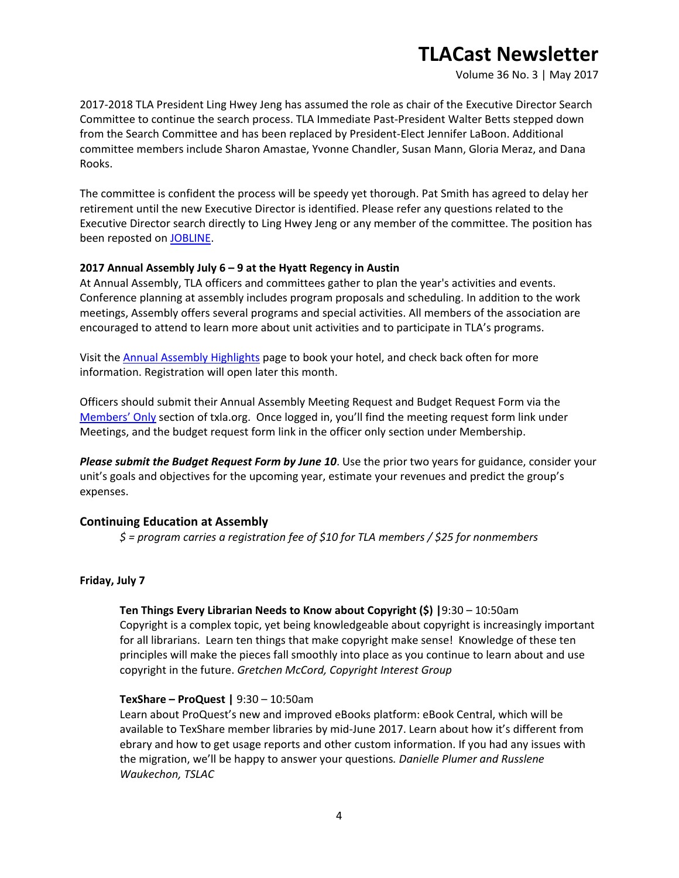Volume 36 No. 3 | May 2017

2017-2018 TLA President Ling Hwey Jeng has assumed the role as chair of the Executive Director Search Committee to continue the search process. TLA Immediate Past-President Walter Betts stepped down from the Search Committee and has been replaced by President-Elect Jennifer LaBoon. Additional committee members include Sharon Amastae, Yvonne Chandler, Susan Mann, Gloria Meraz, and Dana Rooks.

The committee is confident the process will be speedy yet thorough. Pat Smith has agreed to delay her retirement until the new Executive Director is identified. Please refer any questions related to the Executive Director search directly to Ling Hwey Jeng or any member of the committee. The position has been reposted on [JOBLINE.](https://secure.txla.org/secure/jobs/jobshow.asp?key=8228)

## **2017 Annual Assembly July 6 – 9 at the Hyatt Regency in Austin**

At Annual Assembly, TLA officers and committees gather to plan the year's activities and events. Conference planning at assembly includes program proposals and scheduling. In addition to the work meetings, Assembly offers several programs and special activities. All members of the association are encouraged to attend to learn more about unit activities and to participate in TLA's programs.

Visit the [Annual Assembly Highlights](http://www.txla.org/annual-assembly-highlights) page to book your hotel, and check back often for more information. Registration will open later this month.

Officers should submit their Annual Assembly Meeting Request and Budget Request Form via the [Members' Only](https://secure.txla.org/secure/membership/memLogin.asp) section of txla.org. Once logged in, you'll find the meeting request form link under Meetings, and the budget request form link in the officer only section under Membership.

*Please submit the Budget Request Form by June 10*. Use the prior two years for guidance, consider your unit's goals and objectives for the upcoming year, estimate your revenues and predict the group's expenses.

## **Continuing Education at Assembly**

*\$ = program carries a registration fee of \$10 for TLA members / \$25 for nonmembers*

#### **Friday, July 7**

#### **Ten Things Every Librarian Needs to Know about Copyright (\$) |**9:30 – 10:50am

Copyright is a complex topic, yet being knowledgeable about copyright is increasingly important for all librarians. Learn ten things that make copyright make sense! Knowledge of these ten principles will make the pieces fall smoothly into place as you continue to learn about and use copyright in the future. *Gretchen McCord, Copyright Interest Group*

#### **TexShare – ProQuest |** 9:30 – 10:50am

Learn about ProQuest's new and improved eBooks platform: eBook Central, which will be available to TexShare member libraries by mid-June 2017. Learn about how it's different from ebrary and how to get usage reports and other custom information. If you had any issues with the migration, we'll be happy to answer your questions*. Danielle Plumer and Russlene Waukechon, TSLAC*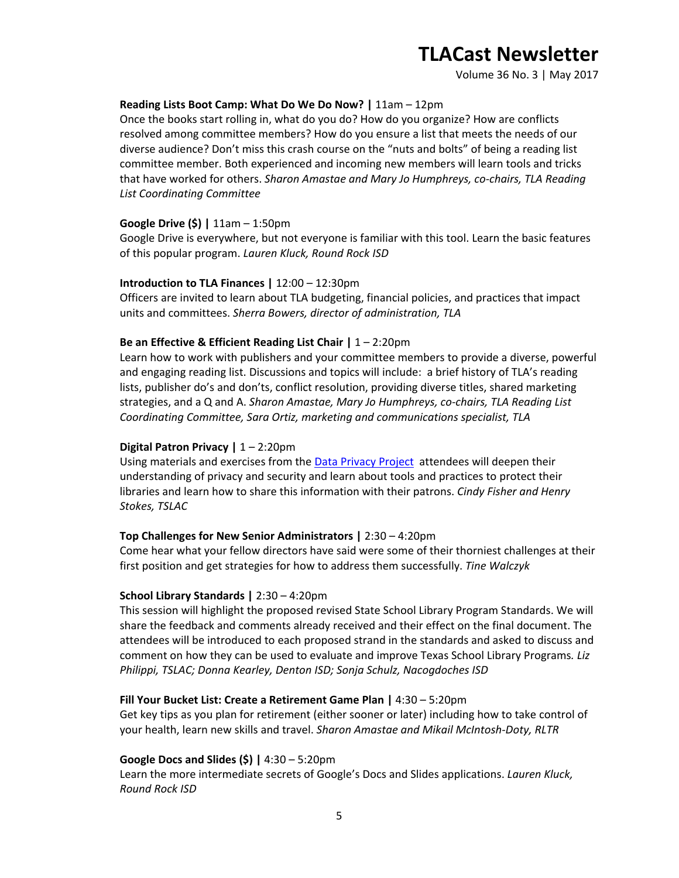Volume 36 No. 3 | May 2017

#### **Reading Lists Boot Camp: What Do We Do Now? |** 11am – 12pm

Once the books start rolling in, what do you do? How do you organize? How are conflicts resolved among committee members? How do you ensure a list that meets the needs of our diverse audience? Don't miss this crash course on the "nuts and bolts" of being a reading list committee member. Both experienced and incoming new members will learn tools and tricks that have worked for others. *Sharon Amastae and Mary Jo Humphreys, co-chairs, TLA Reading List Coordinating Committee*

#### **Google Drive (\$) |** 11am – 1:50pm

Google Drive is everywhere, but not everyone is familiar with this tool. Learn the basic features of this popular program. *Lauren Kluck, Round Rock ISD*

#### **Introduction to TLA Finances |** 12:00 – 12:30pm

Officers are invited to learn about TLA budgeting, financial policies, and practices that impact units and committees. *Sherra Bowers, director of administration, TLA*

#### **Be an Effective & Efficient Reading List Chair |** 1 – 2:20pm

Learn how to work with publishers and your committee members to provide a diverse, powerful and engaging reading list. Discussions and topics will include: a brief history of TLA's reading lists, publisher do's and don'ts, conflict resolution, providing diverse titles, shared marketing strategies, and a Q and A. *Sharon Amastae, Mary Jo Humphreys, co-chairs, TLA Reading List Coordinating Committee, Sara Ortiz, marketing and communications specialist, TLA*

#### **Digital Patron Privacy |** 1 – 2:20pm

Using materials and exercises from the **Data Privacy Project** attendees will deepen their understanding of privacy and security and learn about tools and practices to protect their libraries and learn how to share this information with their patrons. *Cindy Fisher and Henry Stokes, TSLAC*

#### **Top Challenges for New Senior Administrators |** 2:30 – 4:20pm

Come hear what your fellow directors have said were some of their thorniest challenges at their first position and get strategies for how to address them successfully. *Tine Walczyk*

#### **School Library Standards |** 2:30 – 4:20pm

This session will highlight the proposed revised State School Library Program Standards. We will share the feedback and comments already received and their effect on the final document. The attendees will be introduced to each proposed strand in the standards and asked to discuss and comment on how they can be used to evaluate and improve Texas School Library Programs*. Liz Philippi, TSLAC; Donna Kearley, Denton ISD; Sonja Schulz, Nacogdoches ISD*

#### **Fill Your Bucket List: Create a Retirement Game Plan |** 4:30 – 5:20pm

Get key tips as you plan for retirement (either sooner or later) including how to take control of your health, learn new skills and travel. *Sharon Amastae and Mikail McIntosh-Doty, RLTR*

#### **Google Docs and Slides (\$) |** 4:30 – 5:20pm

Learn the more intermediate secrets of Google's Docs and Slides applications. *Lauren Kluck, Round Rock ISD*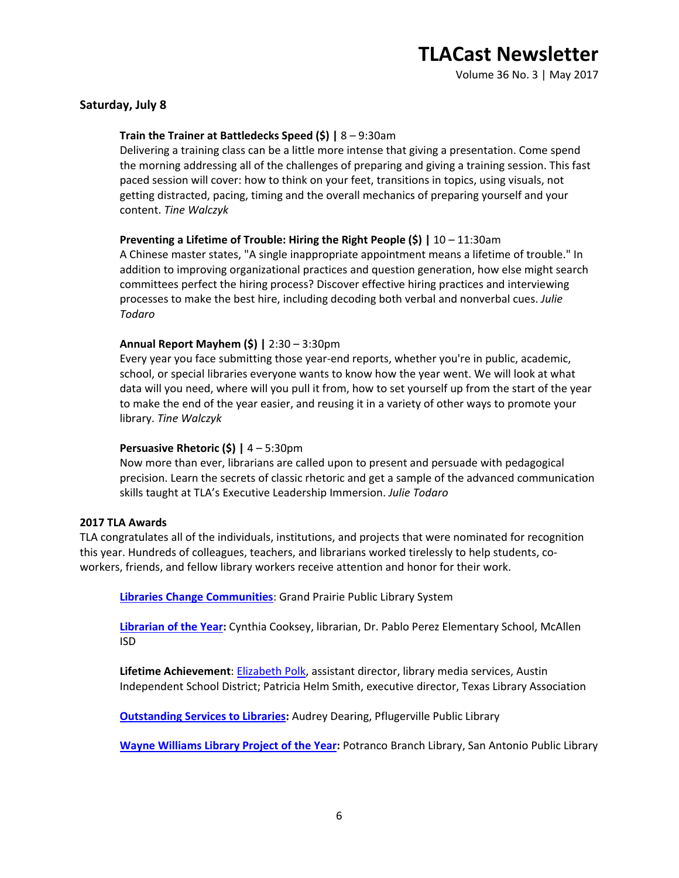Volume 36 No. 3 | May 2017

### **Saturday, July 8**

### **Train the Trainer at Battledecks Speed (\$) |** 8 – 9:30am

Delivering a training class can be a little more intense that giving a presentation. Come spend the morning addressing all of the challenges of preparing and giving a training session. This fast paced session will cover: how to think on your feet, transitions in topics, using visuals, not getting distracted, pacing, timing and the overall mechanics of preparing yourself and your content. *Tine Walczyk*

### **Preventing a Lifetime of Trouble: Hiring the Right People (\$) |** 10 – 11:30am

A Chinese master states, "A single inappropriate appointment means a lifetime of trouble." In addition to improving organizational practices and question generation, how else might search committees perfect the hiring process? Discover effective hiring practices and interviewing processes to make the best hire, including decoding both verbal and nonverbal cues. *Julie Todaro*

### **Annual Report Mayhem (\$) |** 2:30 – 3:30pm

Every year you face submitting those year-end reports, whether you're in public, academic, school, or special libraries everyone wants to know how the year went. We will look at what data will you need, where will you pull it from, how to set yourself up from the start of the year to make the end of the year easier, and reusing it in a variety of other ways to promote your library. *Tine Walczyk*

#### **Persuasive Rhetoric (\$) |** 4 – 5:30pm

Now more than ever, librarians are called upon to present and persuade with pedagogical precision. Learn the secrets of classic rhetoric and get a sample of the advanced communication skills taught at TLA's Executive Leadership Immersion. *Julie Todaro*

#### **2017 TLA Awards**

TLA congratulates all of the individuals, institutions, and projects that were nominated for recognition this year. Hundreds of colleagues, teachers, and librarians worked tirelessly to help students, coworkers, friends, and fellow library workers receive attention and honor for their work.

**[Libraries Change Communities](http://www.txla.org/sites/tla/files/Libraries%20Change%20Communities%20Award%20Press%20Release%202017.doc)**: Grand Prairie Public Library System

**[Librarian of the Year:](http://www.txla.org/sites/tla/files/Librarian%20of%20the%20Year%20Award%20Press%20Release%202017.doc)** Cynthia Cooksey, librarian, Dr. Pablo Perez Elementary School, McAllen ISD

**Lifetime Achievement**[: Elizabeth Polk,](http://www.txla.org/sites/tla/files/Lifetime%20Achievement%20Award%20Press%20Release%202017.doc) assistant director, library media services, Austin Independent School District; Patricia Helm Smith, executive director, Texas Library Association

**[Outstanding Services to Libraries:](http://www.txla.org/sites/tla/files/Outstanding%20Services%20to%20Libraries%20Award%20Press%20Release%202017.doc)** Audrey Dearing, Pflugerville Public Library

**[Wayne Williams Library Project of the Year:](http://www.txla.org/sites/tla/files/Wayne%20Williams%20Library%20Project%20of%20the%20Year%20Award%20Press%20Release%202017.doc)** Potranco Branch Library, San Antonio Public Library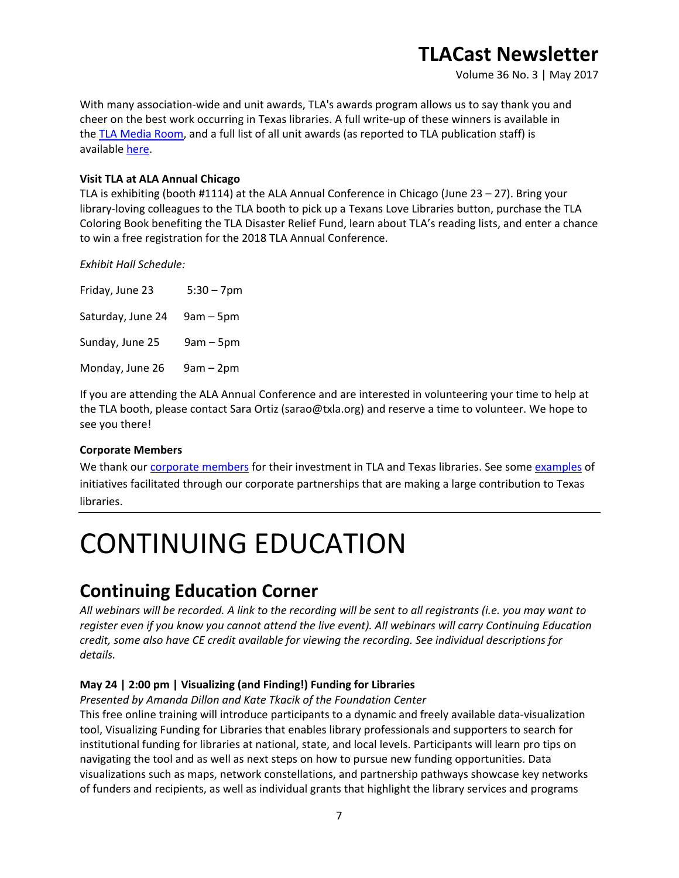Volume 36 No. 3 | May 2017

With many association-wide and unit awards, TLA's awards program allows us to say thank you and cheer on the best work occurring in Texas libraries. A full write-up of these winners is available in the [TLA Media Room,](http://www.txla.org/press-releases) and a full list of all unit awards (as reported to TLA publication staff) is available [here.](http://www.txla.org/news/2017/05/2017-texas-library-association-awards)

## **Visit TLA at ALA Annual Chicago**

TLA is exhibiting (booth #1114) at the ALA Annual Conference in Chicago (June 23 – 27). Bring your library-loving colleagues to the TLA booth to pick up a Texans Love Libraries button, purchase the TLA Coloring Book benefiting the TLA Disaster Relief Fund, learn about TLA's reading lists, and enter a chance to win a free registration for the 2018 TLA Annual Conference.

*Exhibit Hall Schedule:*

| Friday, June 23   | $5:30 - 7$ pm |
|-------------------|---------------|
| Saturday, June 24 | $9am - 5pm$   |
| Sunday, June 25   | $9am - 5pm$   |
| Monday, June 26   | $9am - 2pm$   |

If you are attending the ALA Annual Conference and are interested in volunteering your time to help at the TLA booth, please contact Sara Ortiz (sarao@txla.org) and reserve a time to volunteer. We hope to see you there!

## **Corporate Members**

We thank our [corporate members](http://www.txla.org/cm) for their investment in TLA and Texas libraries. See some [examples](http://www.txla.org/public-relations-campaigns) of initiatives facilitated through our corporate partnerships that are making a large contribution to Texas libraries.

# CONTINUING EDUCATION

# **Continuing Education Corner**

*All webinars will be recorded. A link to the recording will be sent to all registrants (i.e. you may want to register even if you know you cannot attend the live event). All webinars will carry Continuing Education credit, some also have CE credit available for viewing the recording. See individual descriptions for details.*

# **May 24 | 2:00 pm | Visualizing (and Finding!) Funding for Libraries**

*Presented by Amanda Dillon and Kate Tkacik of the Foundation Center*

This free online training will introduce participants to a dynamic and freely available data-visualization tool, Visualizing Funding for Libraries that enables library professionals and supporters to search for institutional funding for libraries at national, state, and local levels. Participants will learn pro tips on navigating the tool and as well as next steps on how to pursue new funding opportunities. Data visualizations such as maps, network constellations, and partnership pathways showcase key networks of funders and recipients, as well as individual grants that highlight the library services and programs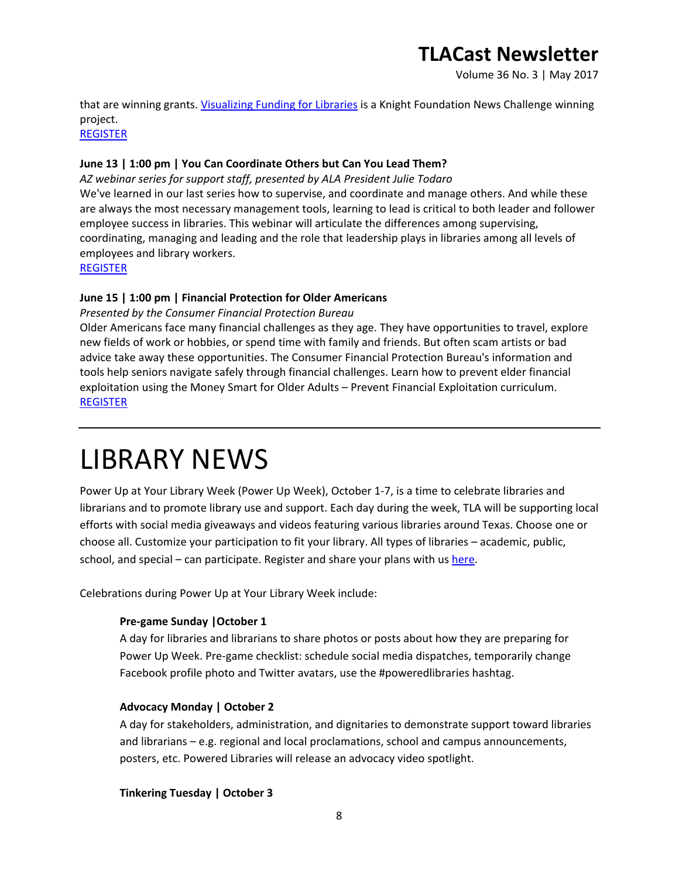Volume 36 No. 3 | May 2017

that are winning grants. [Visualizing Funding for Libraries](http://libraries.foundationcenter.org/) is a Knight Foundation News Challenge winning project.

[REGISTER](https://join.onstreammedia.com/register/80146595/visualfund)

# **June 13 | 1:00 pm | You Can Coordinate Others but Can You Lead Them?**

*AZ webinar series for support staff, presented by ALA President Julie Todaro* We've learned in our last series how to supervise, and coordinate and manage others. And while these are always the most necessary management tools, learning to lead is critical to both leader and follower employee success in libraries. This webinar will articulate the differences among supervising, coordinating, managing and leading and the role that leadership plays in libraries among all levels of employees and library workers.

[REGISTER](https://secure.txla.org/secure/forms/mtgLogin.asp)

## **June 15 | 1:00 pm | Financial Protection for Older Americans**

## *Presented by the Consumer Financial Protection Bureau*

Older Americans face many financial challenges as they age. They have opportunities to travel, explore new fields of work or hobbies, or spend time with family and friends. But often scam artists or bad advice take away these opportunities. The Consumer Financial Protection Bureau's information and tools help seniors navigate safely through financial challenges. Learn how to prevent elder financial exploitation using the Money Smart for Older Adults – Prevent Financial Exploitation curriculum. [REGISTER](https://join.onstreammedia.com/register/80146595/cfpb2)

# LIBRARY NEWS

Power Up at Your Library Week (Power Up Week), October 1-7, is a time to celebrate libraries and librarians and to promote library use and support. Each day during the week, TLA will be supporting local efforts with social media giveaways and videos featuring various libraries around Texas. Choose one or choose all. Customize your participation to fit your library. All types of libraries – academic, public, school, and special – can participate. Register and share your plans with u[s here.](https://docs.google.com/forms/d/e/1FAIpQLSeKAAfnZOShosx4BUTKYG0VUO0VkgdM76oTfNS9df4gV_3PpQ/viewform?usp=sf_link)

Celebrations during Power Up at Your Library Week include:

## **Pre-game Sunday |October 1**

A day for libraries and librarians to share photos or posts about how they are preparing for Power Up Week. Pre-game checklist: schedule social media dispatches, temporarily change Facebook profile photo and Twitter avatars, use the #poweredlibraries hashtag.

## **Advocacy Monday | October 2**

A day for stakeholders, administration, and dignitaries to demonstrate support toward libraries and librarians – e.g. regional and local proclamations, school and campus announcements, posters, etc. Powered Libraries will release an advocacy video spotlight.

## **Tinkering Tuesday | October 3**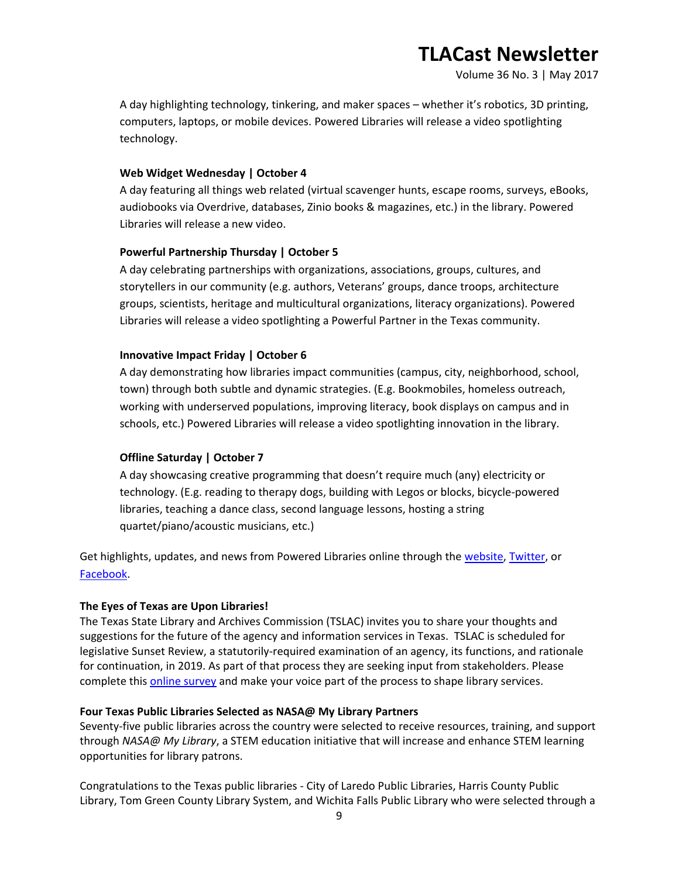Volume 36 No. 3 | May 2017

A day highlighting technology, tinkering, and maker spaces – whether it's robotics, 3D printing, computers, laptops, or mobile devices. Powered Libraries will release a video spotlighting technology.

### **Web Widget Wednesday | October 4**

A day featuring all things web related (virtual scavenger hunts, escape rooms, surveys, eBooks, audiobooks via Overdrive, databases, Zinio books & magazines, etc.) in the library. Powered Libraries will release a new video.

### **Powerful Partnership Thursday | October 5**

A day celebrating partnerships with organizations, associations, groups, cultures, and storytellers in our community (e.g. authors, Veterans' groups, dance troops, architecture groups, scientists, heritage and multicultural organizations, literacy organizations). Powered Libraries will release a video spotlighting a Powerful Partner in the Texas community.

### **Innovative Impact Friday | October 6**

A day demonstrating how libraries impact communities (campus, city, neighborhood, school, town) through both subtle and dynamic strategies. (E.g. Bookmobiles, homeless outreach, working with underserved populations, improving literacy, book displays on campus and in schools, etc.) Powered Libraries will release a video spotlighting innovation in the library.

## **Offline Saturday | October 7**

A day showcasing creative programming that doesn't require much (any) electricity or technology. (E.g. reading to therapy dogs, building with Legos or blocks, bicycle-powered libraries, teaching a dance class, second language lessons, hosting a string quartet/piano/acoustic musicians, etc.)

Get highlights, updates, and news from Powered Libraries online through the [website,](http://www.poweredlibraries.org/) [Twitter,](https://twitter.com/poweredlibrary) or [Facebook.](https://www.facebook.com/Poweredlibraries)

#### **The Eyes of Texas are Upon Libraries!**

The Texas State Library and Archives Commission (TSLAC) invites you to share your thoughts and suggestions for the future of the agency and information services in Texas. TSLAC is scheduled for legislative Sunset Review, a statutorily-required examination of an agency, its functions, and rationale for continuation, in 2019. As part of that process they are seeking input from stakeholders. Please complete this [online survey](http://www.surveygizmo.com/s3/3455268/tslacsunsetsurvey) and make your voice part of the process to shape library services.

#### **Four Texas Public Libraries Selected as NASA@ My Library Partners**

Seventy-five public libraries across the country were selected to receive resources, training, and support through *NASA@ My Library*, a STEM education initiative that will increase and enhance STEM learning opportunities for library patrons.

Congratulations to the Texas public libraries - City of Laredo Public Libraries, Harris County Public Library, Tom Green County Library System, and Wichita Falls Public Library who were selected through a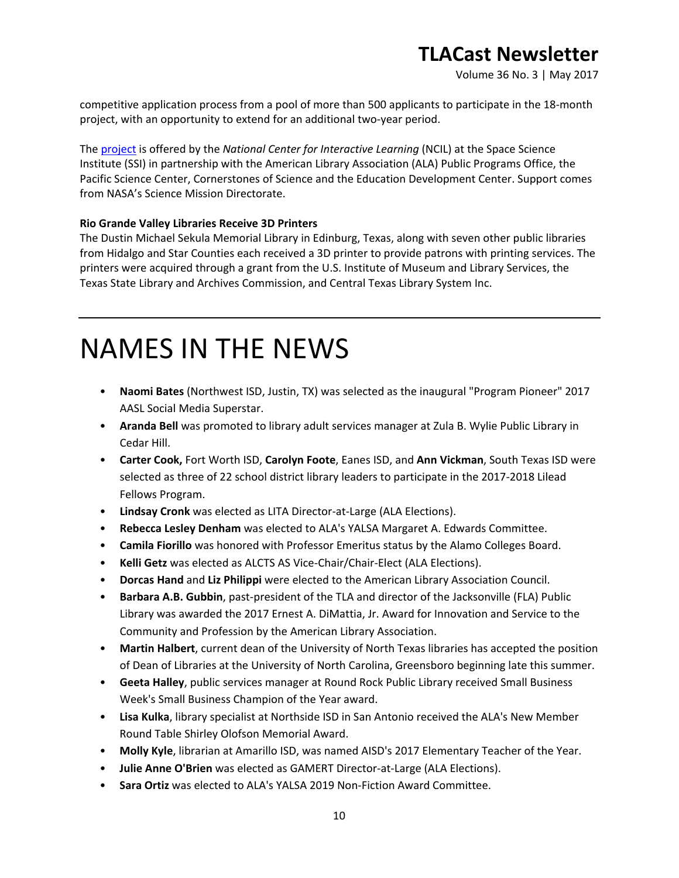Volume 36 No. 3 | May 2017

competitive application process from a pool of more than 500 applicants to participate in the 18-month project, with an opportunity to extend for an additional two-year period.

The [project](http://www.ala.org/news/member-news/2017/05/75-public-libraries-selected-nasa-my-library-partners) is offered by the *National Center for Interactive Learning* (NCIL) at the Space Science Institute (SSI) in partnership with the American Library Association (ALA) Public Programs Office, the Pacific Science Center, Cornerstones of Science and the Education Development Center. Support comes from NASA's Science Mission Directorate.

## **Rio Grande Valley Libraries Receive 3D Printers**

The Dustin Michael Sekula Memorial Library in Edinburg, Texas, along with seven other public libraries from Hidalgo and Star Counties each received a 3D printer to provide patrons with printing services. The printers were acquired through a grant from the U.S. Institute of Museum and Library Services, the Texas State Library and Archives Commission, and Central Texas Library System Inc.

# NAMES IN THE NEWS

- **Naomi Bates** (Northwest ISD, Justin, TX) was selected as the inaugural "Program Pioneer" 2017 AASL Social Media Superstar.
- **Aranda Bell** was promoted to library adult services manager at Zula B. Wylie Public Library in Cedar Hill.
- **Carter Cook,** Fort Worth ISD, **Carolyn Foote**, Eanes ISD, and **Ann Vickman**, South Texas ISD were selected as three of 22 school district library leaders to participate in the 2017-2018 Lilead Fellows Program.
- **Lindsay Cronk** was elected as LITA Director-at-Large (ALA Elections).
- **Rebecca Lesley Denham** was elected to ALA's YALSA Margaret A. Edwards Committee.
- **Camila Fiorillo** was honored with Professor Emeritus status by the Alamo Colleges Board.
- **Kelli Getz** was elected as ALCTS AS Vice-Chair/Chair-Elect (ALA Elections).
- **Dorcas Hand** and **Liz Philippi** were elected to the American Library Association Council.
- **Barbara A.B. Gubbin**, past-president of the TLA and director of the Jacksonville (FLA) Public Library was awarded the 2017 Ernest A. DiMattia, Jr. Award for Innovation and Service to the Community and Profession by the American Library Association.
- **Martin Halbert**, current dean of the University of North Texas libraries has accepted the position of Dean of Libraries at the University of North Carolina, Greensboro beginning late this summer.
- **Geeta Halley**, public services manager at Round Rock Public Library received Small Business Week's Small Business Champion of the Year award.
- **Lisa Kulka**, library specialist at Northside ISD in San Antonio received the ALA's New Member Round Table Shirley Olofson Memorial Award.
- **Molly Kyle**, librarian at Amarillo ISD, was named AISD's 2017 Elementary Teacher of the Year.
- **Julie Anne O'Brien** was elected as GAMERT Director-at-Large (ALA Elections).
- **Sara Ortiz** was elected to ALA's YALSA 2019 Non-Fiction Award Committee.